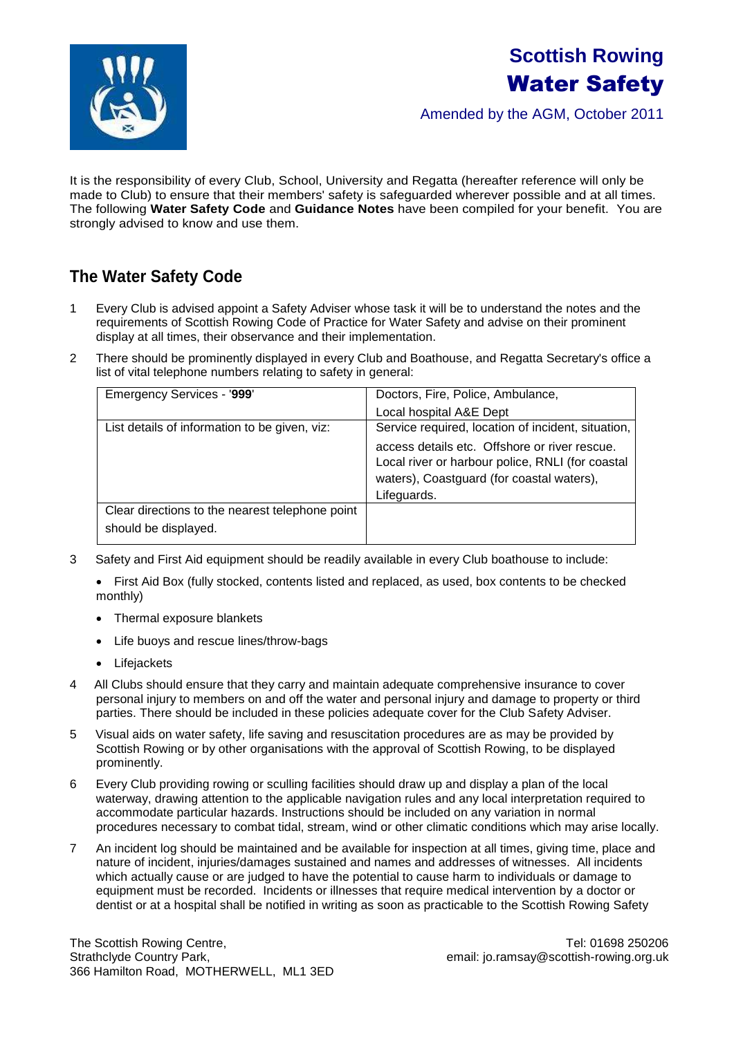# **Scottish Rowing**  Water Safety

Amended by the AGM, October 2011



It is the responsibility of every Club, School, University and Regatta (hereafter reference will only be made to Club) to ensure that their members' safety is safeguarded wherever possible and at all times. The following **Water Safety Code** and **Guidance Notes** have been compiled for your benefit. You are strongly advised to know and use them.

# **The Water Safety Code**

- 1 Every Club is advised appoint a Safety Adviser whose task it will be to understand the notes and the requirements of Scottish Rowing Code of Practice for Water Safety and advise on their prominent display at all times, their observance and their implementation.
- 2 There should be prominently displayed in every Club and Boathouse, and Regatta Secretary's office a list of vital telephone numbers relating to safety in general:

| <b>Emergency Services - '999'</b>               | Doctors, Fire, Police, Ambulance,                                                                                                              |
|-------------------------------------------------|------------------------------------------------------------------------------------------------------------------------------------------------|
|                                                 | Local hospital A&E Dept                                                                                                                        |
| List details of information to be given, viz:   | Service required, location of incident, situation,                                                                                             |
|                                                 | access details etc. Offshore or river rescue.<br>Local river or harbour police, RNLI (for coastal<br>waters), Coastguard (for coastal waters), |
|                                                 | Lifeguards.                                                                                                                                    |
| Clear directions to the nearest telephone point |                                                                                                                                                |
| should be displayed.                            |                                                                                                                                                |

3 Safety and First Aid equipment should be readily available in every Club boathouse to include:

 First Aid Box (fully stocked, contents listed and replaced, as used, box contents to be checked monthly)

- Thermal exposure blankets
- Life buoys and rescue lines/throw-bags
- Lifejackets
- 4 All Clubs should ensure that they carry and maintain adequate comprehensive insurance to cover personal injury to members on and off the water and personal injury and damage to property or third parties. There should be included in these policies adequate cover for the Club Safety Adviser.
- 5 Visual aids on water safety, life saving and resuscitation procedures are as may be provided by Scottish Rowing or by other organisations with the approval of Scottish Rowing, to be displayed prominently.
- 6 Every Club providing rowing or sculling facilities should draw up and display a plan of the local waterway, drawing attention to the applicable navigation rules and any local interpretation required to accommodate particular hazards. Instructions should be included on any variation in normal procedures necessary to combat tidal, stream, wind or other climatic conditions which may arise locally.
- 7 An incident log should be maintained and be available for inspection at all times, giving time, place and nature of incident, injuries/damages sustained and names and addresses of witnesses. All incidents which actually cause or are judged to have the potential to cause harm to individuals or damage to equipment must be recorded. Incidents or illnesses that require medical intervention by a doctor or dentist or at a hospital shall be notified in writing as soon as practicable to the Scottish Rowing Safety

The Scottish Rowing Centre, The Scottish Rowing Centre, The Scottish Rowing Centre, Tel: 01698 250206 Strathclyde Country Park, etc. and the country Park, the country Park, the country Park, the country Park, the country Park, the country Park, the country Park, the country Park, the country Park, the country Park, the cou 366 Hamilton Road, MOTHERWELL, ML1 3ED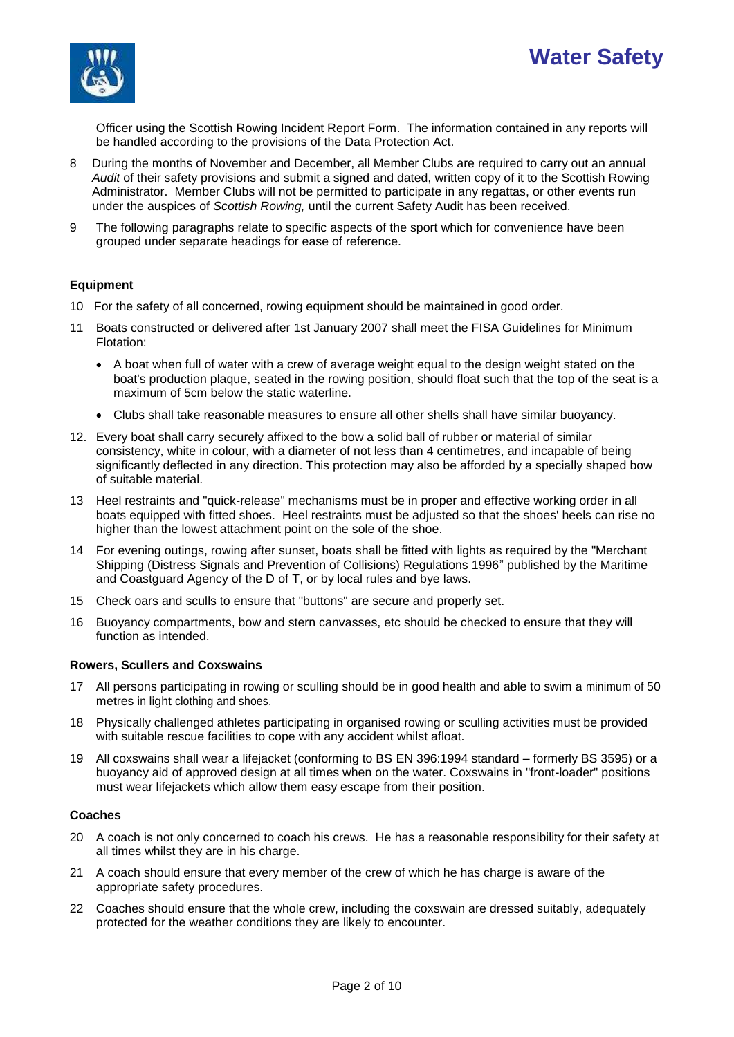



Officer using the Scottish Rowing Incident Report Form. The information contained in any reports will be handled according to the provisions of the Data Protection Act.

- 8 During the months of November and December, all Member Clubs are required to carry out an annual *Audit* of their safety provisions and submit a signed and dated, written copy of it to the Scottish Rowing Administrator. Member Clubs will not be permitted to participate in any regattas, or other events run under the auspices of *Scottish Rowing,* until the current Safety Audit has been received.
- 9 The following paragraphs relate to specific aspects of the sport which for convenience have been grouped under separate headings for ease of reference.

### **Equipment**

- 10 For the safety of all concerned, rowing equipment should be maintained in good order.
- 11 Boats constructed or delivered after 1st January 2007 shall meet the FISA Guidelines for Minimum Flotation:
	- A boat when full of water with a crew of average weight equal to the design weight stated on the boat's production plaque, seated in the rowing position, should float such that the top of the seat is a maximum of 5cm below the static waterline.
	- Clubs shall take reasonable measures to ensure all other shells shall have similar buoyancy.
- 12. Every boat shall carry securely affixed to the bow a solid ball of rubber or material of similar consistency, white in colour, with a diameter of not less than 4 centimetres, and incapable of being significantly deflected in any direction. This protection may also be afforded by a specially shaped bow of suitable material.
- 13 Heel restraints and "quick-release" mechanisms must be in proper and effective working order in all boats equipped with fitted shoes. Heel restraints must be adjusted so that the shoes' heels can rise no higher than the lowest attachment point on the sole of the shoe.
- 14 For evening outings, rowing after sunset, boats shall be fitted with lights as required by the "Merchant Shipping (Distress Signals and Prevention of Collisions) Regulations 1996" published by the Maritime and Coastguard Agency of the D of T, or by local rules and bye laws.
- 15 Check oars and sculls to ensure that "buttons" are secure and properly set.
- 16 Buoyancy compartments, bow and stern canvasses, etc should be checked to ensure that they will function as intended.

#### **Rowers, Scullers and Coxswains**

- 17 All persons participating in rowing or sculling should be in good health and able to swim a minimum of 50 metres in light clothing and shoes.
- 18 Physically challenged athletes participating in organised rowing or sculling activities must be provided with suitable rescue facilities to cope with any accident whilst afloat.
- 19 All coxswains shall wear a lifejacket (conforming to BS EN 396:1994 standard formerly BS 3595) or a buoyancy aid of approved design at all times when on the water. Coxswains in "front-loader" positions must wear lifejackets which allow them easy escape from their position.

#### **Coaches**

- 20 A coach is not only concerned to coach his crews. He has a reasonable responsibility for their safety at all times whilst they are in his charge.
- 21 A coach should ensure that every member of the crew of which he has charge is aware of the appropriate safety procedures.
- 22 Coaches should ensure that the whole crew, including the coxswain are dressed suitably, adequately protected for the weather conditions they are likely to encounter.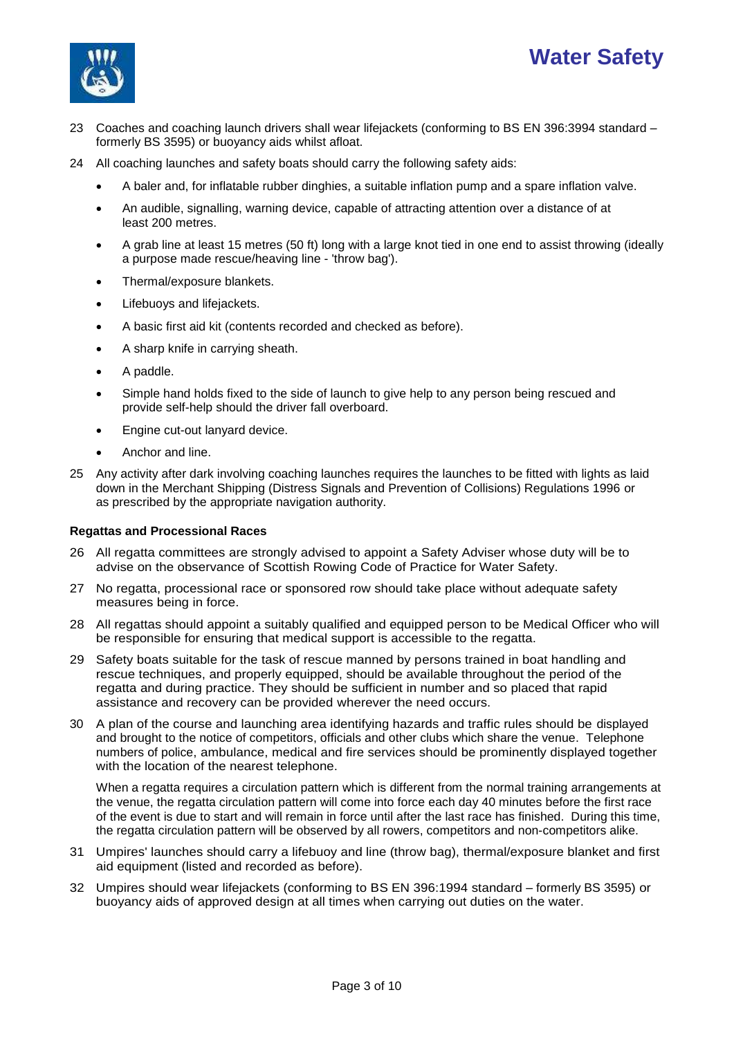# **Water Safety**



- 23 Coaches and coaching launch drivers shall wear lifejackets (conforming to BS EN 396:3994 standard formerly BS 3595) or buoyancy aids whilst afloat.
- 24 All coaching launches and safety boats should carry the following safety aids:
	- A baler and, for inflatable rubber dinghies, a suitable inflation pump and a spare inflation valve.
	- An audible, signalling, warning device, capable of attracting attention over a distance of at least 200 metres.
	- A grab line at least 15 metres (50 ft) long with a large knot tied in one end to assist throwing (ideally a purpose made rescue/heaving line - 'throw bag').
	- Thermal/exposure blankets.
	- Lifebuoys and lifejackets.
	- A basic first aid kit (contents recorded and checked as before).
	- A sharp knife in carrying sheath.
	- A paddle.
	- Simple hand holds fixed to the side of launch to give help to any person being rescued and provide self-help should the driver fall overboard.
	- Engine cut-out lanyard device.
	- Anchor and line.
- 25 Any activity after dark involving coaching launches requires the launches to be fitted with lights as laid down in the Merchant Shipping (Distress Signals and Prevention of Collisions) Regulations 1996 or as prescribed by the appropriate navigation authority.

#### **Regattas and Processional Races**

- 26 All regatta committees are strongly advised to appoint a Safety Adviser whose duty will be to advise on the observance of Scottish Rowing Code of Practice for Water Safety.
- 27 No regatta, processional race or sponsored row should take place without adequate safety measures being in force.
- 28 All regattas should appoint a suitably qualified and equipped person to be Medical Officer who will be responsible for ensuring that medical support is accessible to the regatta.
- 29 Safety boats suitable for the task of rescue manned by persons trained in boat handling and rescue techniques, and properly equipped, should be available throughout the period of the regatta and during practice. They should be sufficient in number and so placed that rapid assistance and recovery can be provided wherever the need occurs.
- 30 A plan of the course and launching area identifying hazards and traffic rules should be displayed and brought to the notice of competitors, officials and other clubs which share the venue. Telephone numbers of police, ambulance, medical and fire services should be prominently displayed together with the location of the nearest telephone.

When a regatta requires a circulation pattern which is different from the normal training arrangements at the venue, the regatta circulation pattern will come into force each day 40 minutes before the first race of the event is due to start and will remain in force until after the last race has finished. During this time, the regatta circulation pattern will be observed by all rowers, competitors and non-competitors alike.

- 31 Umpires' launches should carry a lifebuoy and line (throw bag), thermal/exposure blanket and first aid equipment (listed and recorded as before).
- 32 Umpires should wear lifejackets (conforming to BS EN 396:1994 standard formerly BS 3595) or buoyancy aids of approved design at all times when carrying out duties on the water.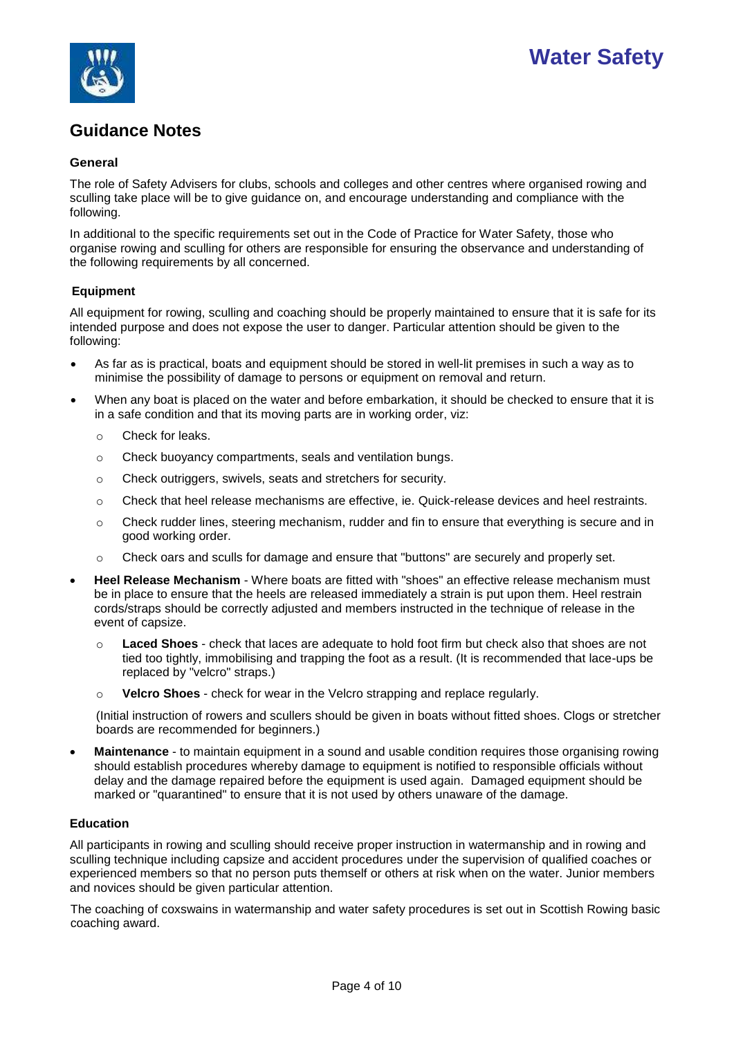



# **Guidance Notes**

### **General**

The role of Safety Advisers for clubs, schools and colleges and other centres where organised rowing and sculling take place will be to give guidance on, and encourage understanding and compliance with the following.

In additional to the specific requirements set out in the Code of Practice for Water Safety, those who organise rowing and sculling for others are responsible for ensuring the observance and understanding of the following requirements by all concerned.

## **Equipment**

All equipment for rowing, sculling and coaching should be properly maintained to ensure that it is safe for its intended purpose and does not expose the user to danger. Particular attention should be given to the following:

- As far as is practical, boats and equipment should be stored in well-lit premises in such a way as to minimise the possibility of damage to persons or equipment on removal and return.
- When any boat is placed on the water and before embarkation, it should be checked to ensure that it is in a safe condition and that its moving parts are in working order, viz:
	- o Check for leaks.
	- o Check buoyancy compartments, seals and ventilation bungs.
	- o Check outriggers, swivels, seats and stretchers for security.
	- o Check that heel release mechanisms are effective, ie. Quick-release devices and heel restraints.
	- $\circ$  Check rudder lines, steering mechanism, rudder and fin to ensure that everything is secure and in good working order.
	- o Check oars and sculls for damage and ensure that "buttons" are securely and properly set.
- **Heel Release Mechanism** Where boats are fitted with "shoes" an effective release mechanism must be in place to ensure that the heels are released immediately a strain is put upon them. Heel restrain cords/straps should be correctly adjusted and members instructed in the technique of release in the event of capsize.
	- o **Laced Shoes** check that laces are adequate to hold foot firm but check also that shoes are not tied too tightly, immobilising and trapping the foot as a result. (It is recommended that lace-ups be replaced by "velcro" straps.)
	- o **Velcro Shoes** check for wear in the Velcro strapping and replace regularly.

(Initial instruction of rowers and scullers should be given in boats without fitted shoes. Clogs or stretcher boards are recommended for beginners.)

 **Maintenance** - to maintain equipment in a sound and usable condition requires those organising rowing should establish procedures whereby damage to equipment is notified to responsible officials without delay and the damage repaired before the equipment is used again. Damaged equipment should be marked or "quarantined" to ensure that it is not used by others unaware of the damage.

#### **Education**

All participants in rowing and sculling should receive proper instruction in watermanship and in rowing and sculling technique including capsize and accident procedures under the supervision of qualified coaches or experienced members so that no person puts themself or others at risk when on the water. Junior members and novices should be given particular attention.

The coaching of coxswains in watermanship and water safety procedures is set out in Scottish Rowing basic coaching award.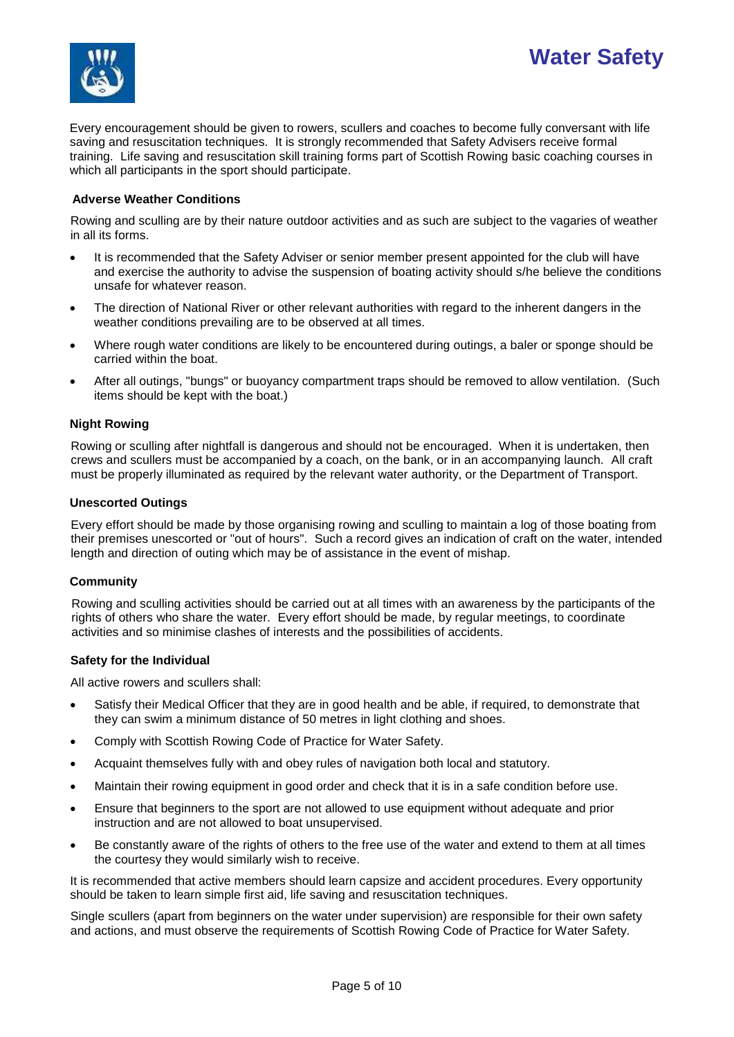



Every encouragement should be given to rowers, scullers and coaches to become fully conversant with life saving and resuscitation techniques. It is strongly recommended that Safety Advisers receive formal training. Life saving and resuscitation skill training forms part of Scottish Rowing basic coaching courses in which all participants in the sport should participate.

### **Adverse Weather Conditions**

Rowing and sculling are by their nature outdoor activities and as such are subject to the vagaries of weather in all its forms.

- It is recommended that the Safety Adviser or senior member present appointed for the club will have and exercise the authority to advise the suspension of boating activity should s/he believe the conditions unsafe for whatever reason.
- The direction of National River or other relevant authorities with regard to the inherent dangers in the weather conditions prevailing are to be observed at all times.
- Where rough water conditions are likely to be encountered during outings, a baler or sponge should be carried within the boat.
- After all outings, "bungs" or buoyancy compartment traps should be removed to allow ventilation. (Such items should be kept with the boat.)

#### **Night Rowing**

Rowing or sculling after nightfall is dangerous and should not be encouraged. When it is undertaken, then crews and scullers must be accompanied by a coach, on the bank, or in an accompanying launch. All craft must be properly illuminated as required by the relevant water authority, or the Department of Transport.

#### **Unescorted Outings**

Every effort should be made by those organising rowing and sculling to maintain a log of those boating from their premises unescorted or "out of hours". Such a record gives an indication of craft on the water, intended length and direction of outing which may be of assistance in the event of mishap.

#### **Community**

Rowing and sculling activities should be carried out at all times with an awareness by the participants of the rights of others who share the water. Every effort should be made, by regular meetings, to coordinate activities and so minimise clashes of interests and the possibilities of accidents.

#### **Safety for the Individual**

All active rowers and scullers shall:

- Satisfy their Medical Officer that they are in good health and be able, if required, to demonstrate that they can swim a minimum distance of 50 metres in light clothing and shoes.
- Comply with Scottish Rowing Code of Practice for Water Safety.
- Acquaint themselves fully with and obey rules of navigation both local and statutory.
- Maintain their rowing equipment in good order and check that it is in a safe condition before use.
- Ensure that beginners to the sport are not allowed to use equipment without adequate and prior instruction and are not allowed to boat unsupervised.
- Be constantly aware of the rights of others to the free use of the water and extend to them at all times the courtesy they would similarly wish to receive.

It is recommended that active members should learn capsize and accident procedures. Every opportunity should be taken to learn simple first aid, life saving and resuscitation techniques.

Single scullers (apart from beginners on the water under supervision) are responsible for their own safety and actions, and must observe the requirements of Scottish Rowing Code of Practice for Water Safety.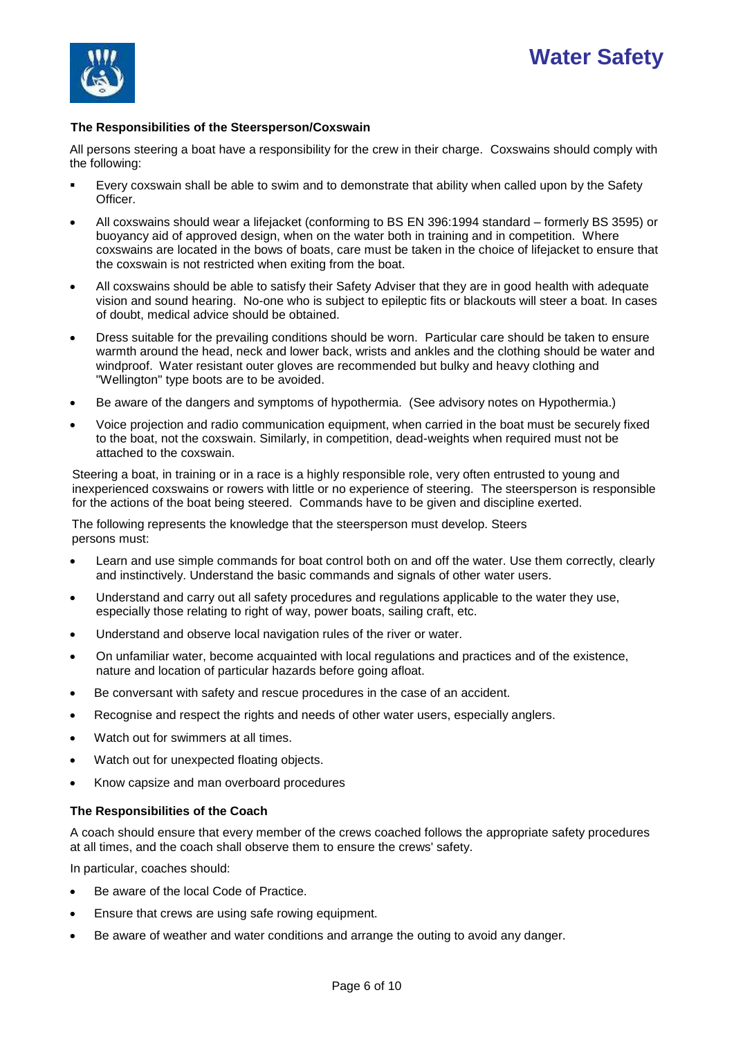# **Water Safety**



## **The Responsibilities of the Steersperson/Coxswain**

All persons steering a boat have a responsibility for the crew in their charge. Coxswains should comply with the following:

- Every coxswain shall be able to swim and to demonstrate that ability when called upon by the Safety Officer.
- All coxswains should wear a lifejacket (conforming to BS EN 396:1994 standard formerly BS 3595) or buoyancy aid of approved design, when on the water both in training and in competition. Where coxswains are located in the bows of boats, care must be taken in the choice of lifejacket to ensure that the coxswain is not restricted when exiting from the boat.
- All coxswains should be able to satisfy their Safety Adviser that they are in good health with adequate vision and sound hearing. No-one who is subject to epileptic fits or blackouts will steer a boat. In cases of doubt, medical advice should be obtained.
- Dress suitable for the prevailing conditions should be worn. Particular care should be taken to ensure warmth around the head, neck and lower back, wrists and ankles and the clothing should be water and windproof. Water resistant outer gloves are recommended but bulky and heavy clothing and "Wellington" type boots are to be avoided.
- Be aware of the dangers and symptoms of hypothermia. (See advisory notes on Hypothermia.)
- Voice projection and radio communication equipment, when carried in the boat must be securely fixed to the boat, not the coxswain. Similarly, in competition, dead-weights when required must not be attached to the coxswain.

Steering a boat, in training or in a race is a highly responsible role, very often entrusted to young and inexperienced coxswains or rowers with little or no experience of steering. The steersperson is responsible for the actions of the boat being steered. Commands have to be given and discipline exerted.

The following represents the knowledge that the steersperson must develop. Steers persons must:

- Learn and use simple commands for boat control both on and off the water. Use them correctly, clearly and instinctively. Understand the basic commands and signals of other water users.
- Understand and carry out all safety procedures and regulations applicable to the water they use, especially those relating to right of way, power boats, sailing craft, etc.
- Understand and observe local navigation rules of the river or water.
- On unfamiliar water, become acquainted with local regulations and practices and of the existence, nature and location of particular hazards before going afloat.
- Be conversant with safety and rescue procedures in the case of an accident.
- Recognise and respect the rights and needs of other water users, especially anglers.
- Watch out for swimmers at all times.
- Watch out for unexpected floating objects.
- Know capsize and man overboard procedures

## **The Responsibilities of the Coach**

A coach should ensure that every member of the crews coached follows the appropriate safety procedures at all times, and the coach shall observe them to ensure the crews' safety.

In particular, coaches should:

- Be aware of the local Code of Practice.
- Ensure that crews are using safe rowing equipment.
- Be aware of weather and water conditions and arrange the outing to avoid any danger.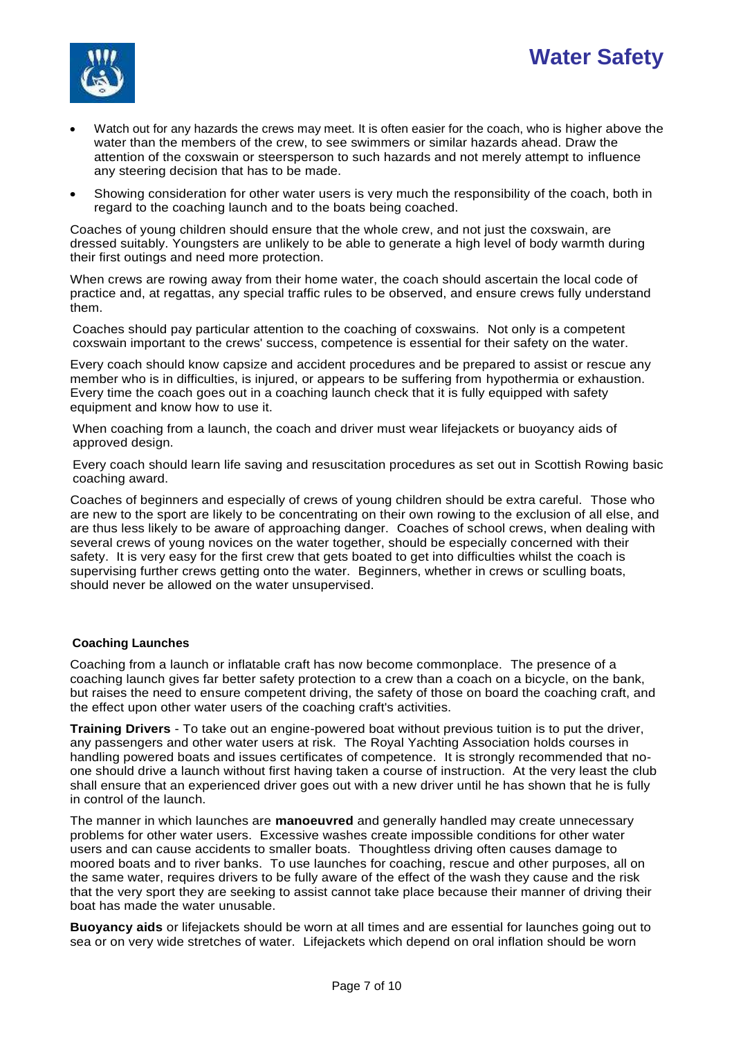

- Watch out for any hazards the crews may meet. It is often easier for the coach, who is higher above the water than the members of the crew, to see swimmers or similar hazards ahead. Draw the attention of the coxswain or steersperson to such hazards and not merely attempt to influence any steering decision that has to be made.
- Showing consideration for other water users is very much the responsibility of the coach, both in regard to the coaching launch and to the boats being coached.

Coaches of young children should ensure that the whole crew, and not just the coxswain, are dressed suitably. Youngsters are unlikely to be able to generate a high level of body warmth during their first outings and need more protection.

When crews are rowing away from their home water, the coach should ascertain the local code of practice and, at regattas, any special traffic rules to be observed, and ensure crews fully understand them.

Coaches should pay particular attention to the coaching of coxswains. Not only is a competent coxswain important to the crews' success, competence is essential for their safety on the water.

Every coach should know capsize and accident procedures and be prepared to assist or rescue any member who is in difficulties, is injured, or appears to be suffering from hypothermia or exhaustion. Every time the coach goes out in a coaching launch check that it is fully equipped with safety equipment and know how to use it.

When coaching from a launch, the coach and driver must wear lifejackets or buoyancy aids of approved design.

Every coach should learn life saving and resuscitation procedures as set out in Scottish Rowing basic coaching award.

Coaches of beginners and especially of crews of young children should be extra careful. Those who are new to the sport are likely to be concentrating on their own rowing to the exclusion of all else, and are thus less likely to be aware of approaching danger. Coaches of school crews, when dealing with several crews of young novices on the water together, should be especially concerned with their safety. It is very easy for the first crew that gets boated to get into difficulties whilst the coach is supervising further crews getting onto the water. Beginners, whether in crews or sculling boats, should never be allowed on the water unsupervised.

## **Coaching Launches**

Coaching from a launch or inflatable craft has now become commonplace. The presence of a coaching launch gives far better safety protection to a crew than a coach on a bicycle, on the bank, but raises the need to ensure competent driving, the safety of those on board the coaching craft, and the effect upon other water users of the coaching craft's activities.

**Training Drivers** - To take out an engine-powered boat without previous tuition is to put the driver, any passengers and other water users at risk. The Royal Yachting Association holds courses in handling powered boats and issues certificates of competence. It is strongly recommended that noone should drive a launch without first having taken a course of instruction. At the very least the club shall ensure that an experienced driver goes out with a new driver until he has shown that he is fully in control of the launch.

The manner in which launches are **manoeuvred** and generally handled may create unnecessary problems for other water users. Excessive washes create impossible conditions for other water users and can cause accidents to smaller boats. Thoughtless driving often causes damage to moored boats and to river banks. To use launches for coaching, rescue and other purposes, all on the same water, requires drivers to be fully aware of the effect of the wash they cause and the risk that the very sport they are seeking to assist cannot take place because their manner of driving their boat has made the water unusable.

**Buoyancy aids** or lifejackets should be worn at all times and are essential for launches going out to sea or on very wide stretches of water. Lifejackets which depend on oral inflation should be worn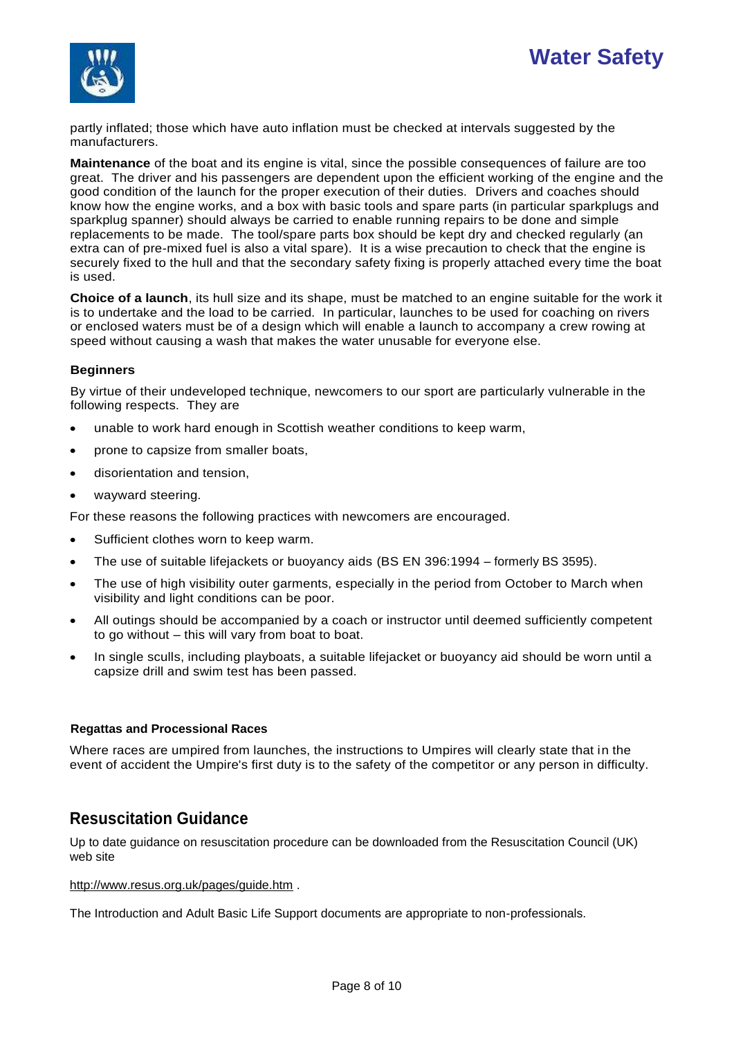



partly inflated; those which have auto inflation must be checked at intervals suggested by the manufacturers.

**Maintenance** of the boat and its engine is vital, since the possible consequences of failure are too great. The driver and his passengers are dependent upon the efficient working of the engine and the good condition of the launch for the proper execution of their duties. Drivers and coaches should know how the engine works, and a box with basic tools and spare parts (in particular sparkplugs and sparkplug spanner) should always be carried to enable running repairs to be done and simple replacements to be made. The tool/spare parts box should be kept dry and checked regularly (an extra can of pre-mixed fuel is also a vital spare). It is a wise precaution to check that the engine is securely fixed to the hull and that the secondary safety fixing is properly attached every time the boat is used.

**Choice of a launch**, its hull size and its shape, must be matched to an engine suitable for the work it is to undertake and the load to be carried. In particular, launches to be used for coaching on rivers or enclosed waters must be of a design which will enable a launch to accompany a crew rowing at speed without causing a wash that makes the water unusable for everyone else.

### **Beginners**

By virtue of their undeveloped technique, newcomers to our sport are particularly vulnerable in the following respects. They are

- unable to work hard enough in Scottish weather conditions to keep warm,
- prone to capsize from smaller boats,
- disorientation and tension,
- wayward steering.

For these reasons the following practices with newcomers are encouraged.

- Sufficient clothes worn to keep warm.
- The use of suitable lifejackets or buoyancy aids (BS EN 396:1994 formerly BS 3595).
- The use of high visibility outer garments, especially in the period from October to March when visibility and light conditions can be poor.
- All outings should be accompanied by a coach or instructor until deemed sufficiently competent to go without – this will vary from boat to boat.
- In single sculls, including playboats, a suitable lifejacket or buoyancy aid should be worn until a capsize drill and swim test has been passed.

#### **Regattas and Processional Races**

Where races are umpired from launches, the instructions to Umpires will clearly state that in the event of accident the Umpire's first duty is to the safety of the competitor or any person in difficulty.

# **Resuscitation Guidance**

Up to date guidance on resuscitation procedure can be downloaded from the Resuscitation Council (UK) web site

<http://www.resus.org.uk/pages/guide.htm> .

The Introduction and Adult Basic Life Support documents are appropriate to non-professionals.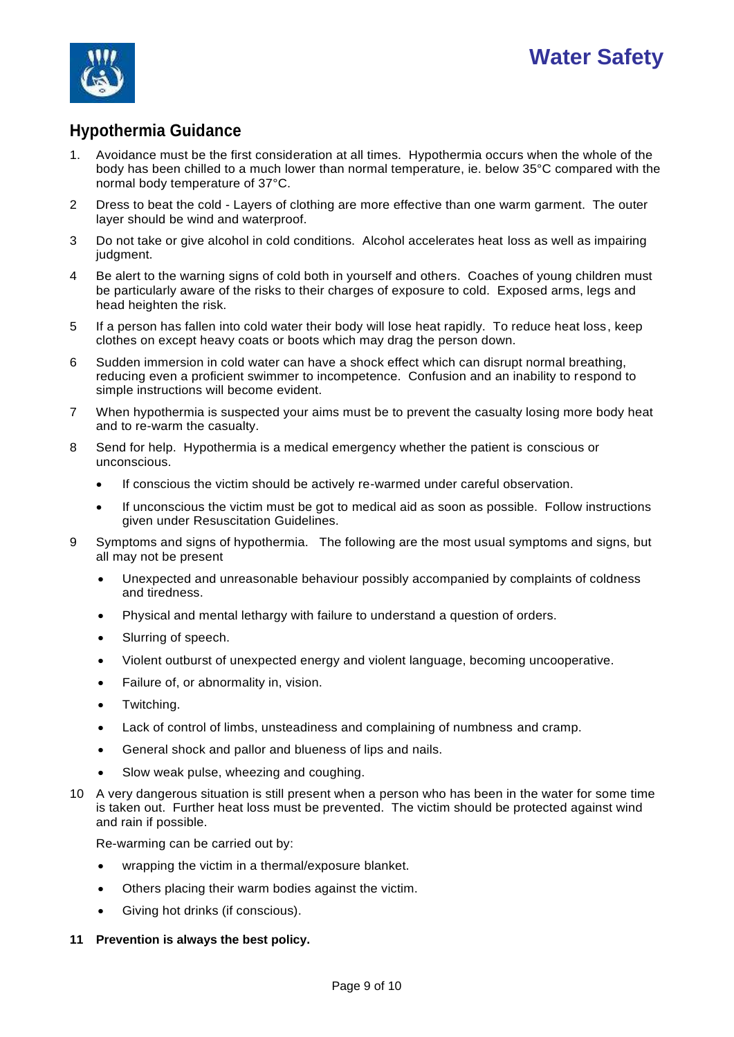

# **Hypothermia Guidance**

- 1. Avoidance must be the first consideration at all times. Hypothermia occurs when the whole of the body has been chilled to a much lower than normal temperature, ie. below 35°C compared with the normal body temperature of 37°C.
- 2 Dress to beat the cold Layers of clothing are more effective than one warm garment. The outer layer should be wind and waterproof.
- 3 Do not take or give alcohol in cold conditions. Alcohol accelerates heat loss as well as impairing judgment.
- 4 Be alert to the warning signs of cold both in yourself and others. Coaches of young children must be particularly aware of the risks to their charges of exposure to cold. Exposed arms, legs and head heighten the risk.
- 5 If a person has fallen into cold water their body will lose heat rapidly. To reduce heat loss, keep clothes on except heavy coats or boots which may drag the person down.
- 6 Sudden immersion in cold water can have a shock effect which can disrupt normal breathing, reducing even a proficient swimmer to incompetence. Confusion and an inability to respond to simple instructions will become evident.
- 7 When hypothermia is suspected your aims must be to prevent the casualty losing more body heat and to re-warm the casualty.
- 8 Send for help. Hypothermia is a medical emergency whether the patient is conscious or unconscious.
	- If conscious the victim should be actively re-warmed under careful observation.
	- If unconscious the victim must be got to medical aid as soon as possible. Follow instructions given under Resuscitation Guidelines.
- 9 Symptoms and signs of hypothermia. The following are the most usual symptoms and signs, but all may not be present
	- Unexpected and unreasonable behaviour possibly accompanied by complaints of coldness and tiredness.
	- Physical and mental lethargy with failure to understand a question of orders.
	- Slurring of speech.
	- Violent outburst of unexpected energy and violent language, becoming uncooperative.
	- Failure of, or abnormality in, vision.
	- Twitching.
	- Lack of control of limbs, unsteadiness and complaining of numbness and cramp.
	- General shock and pallor and blueness of lips and nails.
	- Slow weak pulse, wheezing and coughing.
- 10 A very dangerous situation is still present when a person who has been in the water for some time is taken out. Further heat loss must be prevented. The victim should be protected against wind and rain if possible.

Re-warming can be carried out by:

- wrapping the victim in a thermal/exposure blanket.
- Others placing their warm bodies against the victim.
- Giving hot drinks (if conscious).
- **11 Prevention is always the best policy.**